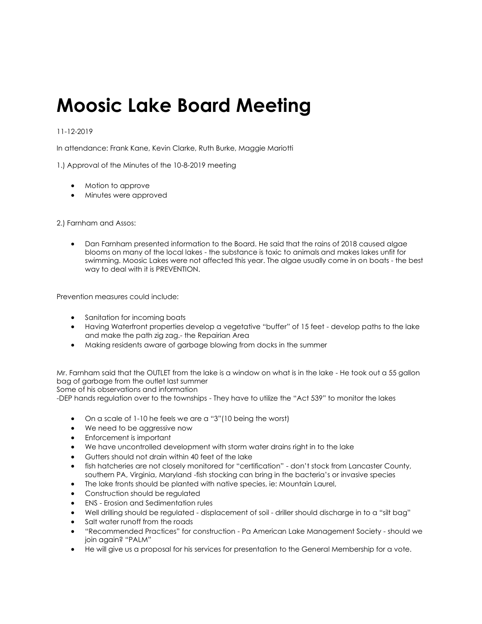## **Moosic Lake Board Meeting**

## 11-12-2019

In attendance: Frank Kane, Kevin Clarke, Ruth Burke, Maggie Mariotti

1.) Approval of the Minutes of the 10-8-2019 meeting

- Motion to approve
- Minutes were approved

2.) Farnham and Assos:

• Dan Farnham presented information to the Board. He said that the rains of 2018 caused algae blooms on many of the local lakes - the substance is toxic to animals and makes lakes unfit for swimming. Moosic Lakes were not affected this year. The algae usually come in on boats - the best way to deal with it is PREVENTION.

Prevention measures could include:

- Sanitation for incoming boats
- Having Waterfront properties develop a vegetative "buffer" of 15 feet develop paths to the lake and make the path zig zag.- the Repairian Area
- Making residents aware of garbage blowing from docks in the summer

Mr. Farnham said that the OUTLET from the lake is a window on what is in the lake - He took out a 55 gallon bag of garbage from the outlet last summer

Some of his observations and information

-DEP hands regulation over to the townships - They have to utilize the "Act 539" to monitor the lakes

- On a scale of 1-10 he feels we are a "3"(10 being the worst)
- We need to be aggressive now
- Enforcement is important
- We have uncontrolled development with storm water drains right in to the lake
- Gutters should not drain within 40 feet of the lake
- fish hatcheries are not closely monitored for "certification" don't stock from Lancaster County, southern PA, Virginia, Maryland -fish stocking can bring in the bacteria's or invasive species
- The lake fronts should be planted with native species, ie: Mountain Laurel,
- Construction should be regulated
- ENS Erosion and Sedimentation rules
- Well drilling should be regulated displacement of soil driller should discharge in to a "silt bag"
- Salt water runoff from the roads
- "Recommended Practices" for construction Pa American Lake Management Society should we join again? "PALM"
- He will give us a proposal for his services for presentation to the General Membership for a vote.